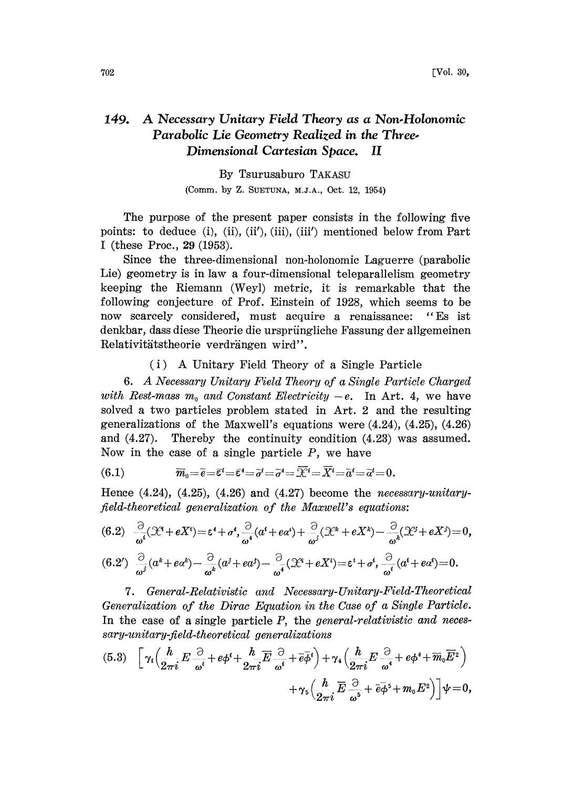# 149. A Necessary Unitary Field Theory as a Non.Holonomic Parabolic Lie Geometry Realized in the Three. Dimensional Cartesian Space. II

By Tsurusaburo TAKASU (Comm. by Z. SUETUNA, M.J.A., Oct. 12, 1954)

The purpose of the present paper consists in the following five points: to deduce (i), (ii), (ii'), (iii), (iii') mentioned below from Part I (these Proc., 29 (1953).

Since the three-dimensional non-holonomic Laguerre (parabolic Lie) geometry is in law a four-dimensional teleparallelism geometry keeping the Riemann (Weyl) metric, it is remarkable that the following conjecture of Prof. Einstein of 1928, which seems to be now scarcely considered, must acquire a renaissance: "Es ist denkbar, dass diese Theorie die urspriingliche Fassung der allgemeinen Relativitätstheorie verdrängen wird".

(i) A Unitary Field Theory of <sup>a</sup> Single Particle

6. A Necessary Unitary Field Theory of <sup>a</sup> Single Particle Charged with Rest-mass  $m_0$  and Constant Electricity  $-e$ . In Art. 4, we have solved a two particles problem stated in Art. 2 and the resulting generalizations of the Maxwell's equations were  $(4.24)$ ,  $(4.25)$ ,  $(4.26)$ and (4.27). Thereby the continuity condition (4.23) was assumed. Now in the case of a single particle  $P$ , we have

(6.1) 
$$
\overline{m}_0 = \overline{e} = \overline{\epsilon}^t = \overline{e}^t = \overline{\sigma}^t = \overline{\sigma}^t = \overline{\mathcal{X}}^t = \overline{X}^t = \overline{a}^t = 0.
$$
  
Hence (4.24), (4.25), (4.26) and (4.27) become the necessary-unitary-

field-theoretical generalization of the Maxwell's equations:

(6.2) 
$$
\frac{\partial}{\omega^{i}}(\mathcal{X}^{i}+eX^{i})=\varepsilon^{i}+\sigma^{i}, \frac{\partial}{\omega^{i}}(a^{i}+ea^{i})+\frac{\partial}{\omega^{j}}(\mathcal{X}^{k}+eX^{k})-\frac{\partial}{\omega^{k}}(\mathcal{X}^{j}+eX^{j})=0,
$$
  
(6.2') 
$$
\frac{\partial}{\omega^{j}}(a^{k}+ea^{k})-\frac{\partial}{\omega^{k}}(a^{j}+ea^{j})-\frac{\partial}{\omega^{i}}(\mathcal{X}^{k}+eX^{i})=\varepsilon^{i}+\sigma^{i}, \frac{\partial}{\omega^{i}}(a^{i}+ea^{i})=0.
$$

 $\frac{C}{\omega^4}(2\mathcal{X}^i + eX^i) = \varepsilon^i + \sigma^i, \frac{C}{\omega^4}(a^i + e\alpha^i) = 0.$ <br>  $\frac{C}{\omega^4}(a^i + e\alpha^i) = 0.$ <br>  $\frac{C}{\omega^4}(a^i + e\alpha^i) = 0.$ <br>  $\frac{C}{\omega^4}(a^i + e\alpha^i) = 0.$ <br>  $\frac{C}{\omega^4}(a^i + e\alpha^i) = 0.$ <br>  $\frac{C}{\omega^4}(a^i + e\alpha^i) = 0.$ <br>  $\frac{C}{\omega^4}(a^i +$ 7. General-Relativistic and Necessary-Unitary-Field-Theoretical Generalization of the Dirac Equation in the Case of a Single Particle. In the case of a single particle  $P$ , the *general-relativistic and neces*sary-unitary-field-theoretical generalizations

$$
(5.3) \quad \left[ \gamma_i \left( \frac{h}{2\pi i} E \frac{\partial}{\omega^i} + e \phi^i + \frac{h}{2\pi i} \overline{E} \frac{\partial}{\omega^i} + \overline{e} \overline{\phi}^i \right) + \gamma_4 \left( \frac{h}{2\pi i} E \frac{\partial}{\omega^4} + e \phi^i + \overline{m}_0 \overline{E}^2 \right) \right. \\ \left. + \gamma_5 \left( \frac{h}{2\pi i} \overline{E} \frac{\partial}{\omega^5} + \overline{e} \overline{\phi}^5 + m_0 E^2 \right) \right] \psi = 0,
$$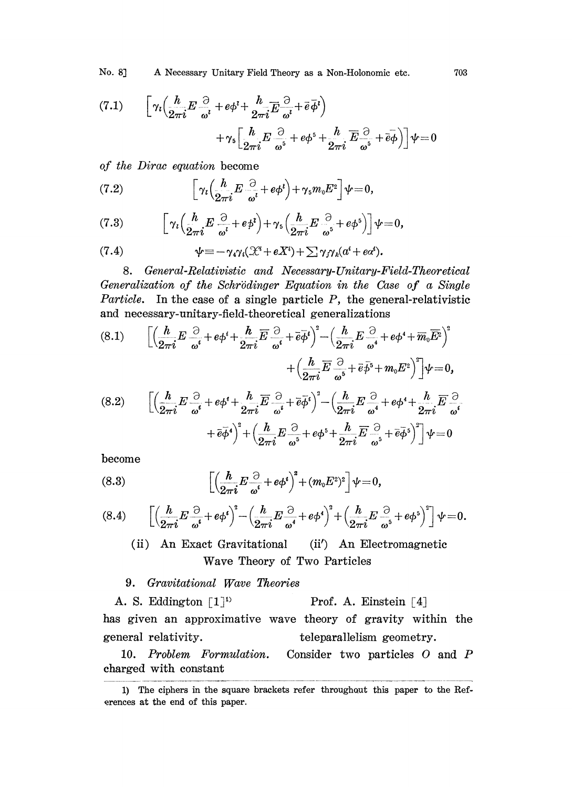No. 8] A Necessary Unitary Field Theory as <sup>a</sup> Non-Holonomic etc. <sup>703</sup>

(7.1) 
$$
\left[\gamma_i\left(\frac{h}{2\pi i}E\frac{\partial}{\omega^i}+e\phi^i+\frac{h}{2\pi i}\overline{E}\frac{\partial}{\omega^i}+\overline{e}\,\overline{\phi}^i\right)\right] + \gamma_5\left[\frac{h}{2\pi i}E\frac{\partial}{\omega^5}+e\phi^5+\frac{h}{2\pi i}\overline{E}\frac{\partial}{\omega^5}+\overline{e}\,\overline{\phi}\right)\right]\psi=0
$$

of the Dirac equation become

(7.2) 
$$
\left[\gamma_t\left(\frac{h}{2\pi i}E\frac{\partial}{\omega^t}+e\phi^t\right)+\gamma_5m_0E^2\right]\psi=0,
$$

(7.3) 
$$
\left[\gamma_i\left(\frac{h}{2\pi i}E\frac{\partial}{\omega^i}+e\phi^i\right)+\gamma_5\left(\frac{h}{2\pi i}E\frac{\partial}{\omega^5}+e\phi^5\right)\right]\psi=0,
$$

(7.4) 
$$
\psi \equiv -\gamma_4 \gamma_i ( \mathcal{X}^i + e X^i ) + \sum \gamma_j \gamma_k ( a^i + e \alpha^i ).
$$

8. General-Relativistic and Necessary-Unitary-Field-Theoretical Generalization of the Schrödinger Equation in the Case of a Single Particle. In the case of a single particle  $P$ , the general-relativistic and necessary-unitary-field-theoretical generalizations

(8.1) 
$$
\left[ \left( \frac{h}{2\pi i} E \frac{\partial}{\omega^i} + e \phi^i + \frac{h}{2\pi i} \overline{E} \frac{\partial}{\omega^i} + \overline{e} \overline{\phi}^i \right)^2 - \left( \frac{h}{2\pi i} E \frac{\partial}{\omega^i} + e \phi^i + \overline{m}_0 \overline{E}^2 \right)^2 + \left( \frac{h}{2\pi i} \overline{E} \frac{\partial}{\omega^5} + \overline{e} \overline{\phi}^5 + m_0 E^2 \right)^2 \right] \psi = 0,
$$

(8.2) 
$$
\left[ \left( \frac{h}{2\pi i} E \frac{\partial}{\omega^i} + e \phi^i + \frac{h}{2\pi i} \overline{E} \frac{\partial}{\omega^i} + \overline{e} \overline{\phi}^i \right)^2 - \left( \frac{h}{2\pi i} E \frac{\partial}{\omega^i} + e \phi^i + \frac{h}{2\pi i} \overline{E} \frac{\partial}{\omega^i} + \overline{e} \overline{\phi}^i \right)^2 + \left( \frac{h}{2\pi i} E \frac{\partial}{\omega^5} + e \phi^5 + \frac{h}{2\pi i} \overline{E} \frac{\partial}{\omega^5} + \overline{e} \overline{\phi}^5 \right)^2 \right] \psi = 0
$$

become

(8.3) 
$$
\left[\left(\frac{h}{2\pi i}E\frac{\partial}{\omega^i}+e\phi^i\right)^2+(m_0E^2)^2\right]\psi=0,
$$

$$
(8.4) \qquad \left[ \left( \frac{h}{2\pi i} E \frac{\partial}{\omega^i} + e \phi^i \right)^2 - \left( \frac{h}{2\pi i} E \frac{\partial}{\omega^i} + e \phi^i \right)^2 + \left( \frac{h}{2\pi i} E \frac{\partial}{\omega^i} + e \phi^i \right)^2 \right] \psi = 0.
$$

(ii) An Exact Gravitational  $(ii')$  An Electromagnetic Wave Theory of Two Particles

## 9. Gravitational Wave Theories

A. S. Eddington  $\lceil 1 \rceil$ <sup>1</sup> Prof. A. Einstein [4] has given an approximative wave theory of gravity within the general relativity. teleparallelism geometry.

10. Problem Formulation. Consider two particles O and P charged with constant

<sup>1)</sup> The ciphers in the square brackets refer throughout this paper to the References at the end of this paper.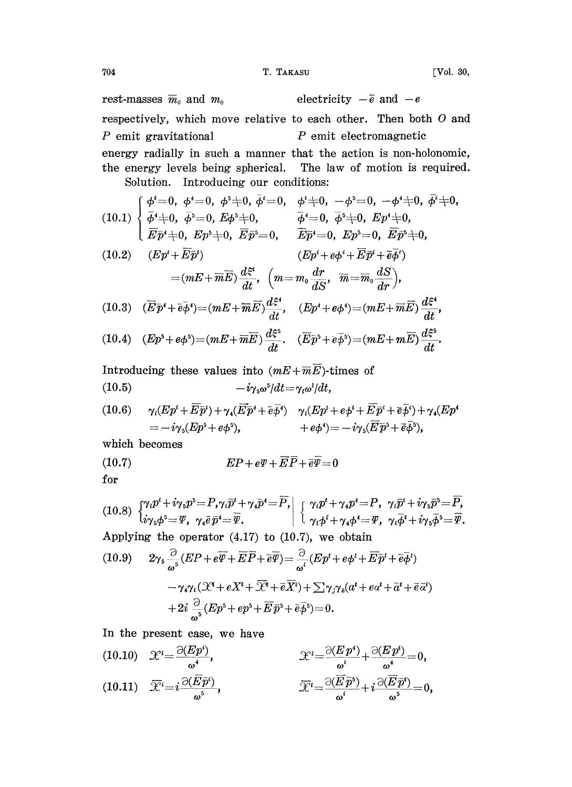rest-masses  $\overline{m}_0$  and  $m_0$  electricity  $-\overline{e}$  and  $-e$ respectively, which move relative to each other. Then both O and  $P$  emit gravitational  $P$  emit electromagnetic energy radially in such a manner that the action is non-holonomic, the energy levels being spherical. The law of motion is required. Solution. Introducing our conditions:

(10.1) 
$$
\begin{cases} \phi^i = 0, & \phi^i = 0, \ \phi^5 = 0, \ \phi^5 = 0, \ -\phi^4 = 0, \ \bar{\phi}^5 = 0, \\ \bar{\phi}^i = 0, & \bar{\phi}^5 = 0, \ \bar{B}\phi^5 = 0, \ \bar{\phi}^5 = 0, \ \bar{B}\phi^5 = 0, \ \bar{\phi}^5 = 0, \ \bar{B}\phi^5 = 0, \ \bar{B}\phi^5 = 0, \ \bar{B}\phi^5 = 0, \ \bar{B}\phi^5 = 0, \ \bar{B}\phi^5 = 0, \ \bar{B}\phi^5 = 0, \ \bar{B}\phi^5 = 0, \ \bar{B}\phi^5 = 0, \ \bar{B}\phi^5 = 0, \ \bar{B}\phi^5 = 0, \ \bar{B}\phi^5 = 0, \ \bar{B}\phi^5 = 0, \ \bar{B}\phi^5 = 0, \ \bar{B}\phi^5 = 0, \ \bar{B}\phi^5 = 0, \ \bar{B}\phi^5 = 0, \ \bar{B}\phi^5 = 0, \ \bar{B}\phi^5 = 0, \ \bar{B}\phi^5 = 0, \ \bar{B}\phi^5 = 0, \ \bar{B}\phi^5 = 0, \ \bar{B}\phi^5 = 0, \ \bar{B}\phi^5 = 0, \ \bar{B}\phi^5 = 0, \ \bar{B}\phi^5 = 0, \ \bar{B}\phi^5 = 0, \ \bar{B}\phi^5 = 0, \ \bar{B}\phi^5 = 0, \ \bar{B}\phi^5 = 0, \ \bar{B}\phi^5 = 0, \ \bar{B}\phi^5 = 0, \ \bar{B}\phi^5 = 0, \ \bar{B}\phi^5 = 0, \ \bar{B}\phi^5 = 0, \ \bar{B}\phi^5 = 0, \ \bar{B}\phi^5 = 0, \ \bar{B}\phi^5 = 0, \ \bar{B}\phi^5 = 0, \ \bar{B}\phi^5 = 0, \ \bar{B}\phi^5 = 0, \ \bar{B}\phi^5 = 0, \ \bar{B}\phi^5 = 0, \ \bar{B}\phi^5 = 0, \ \bar{B}\phi^5 = 0, \ \bar{B}\phi^5 = 0, \ \bar{B}\phi^5 = 0, \ \bar{B}\phi^5 = 0, \ \bar{B}\phi
$$

Introducing these values into  $(mE+\overline{m}\overline{E})$ -times of (10.5)  $-i\gamma_5\omega^5/dt = \gamma_i\omega^i/dt,$ 

(10.6) 
$$
\gamma_i (Ep^i + \overline{E}\overline{p}^i) + \gamma_i (\overline{E}\overline{p}^i + \overline{e}\overline{\phi}^i) \quad \gamma_i (Ep^i + e\phi^i + \overline{E}\overline{p}^i + \overline{e}\overline{\phi}^i) + \gamma_i (Ep^i
$$
  
=  $-i\gamma_5 (Ep^5 + e\phi^5), \qquad + e\phi^4) = -i\gamma_5 (\overline{E}\overline{p}^5 + \overline{e}\overline{\phi}^5),$ 

which becomes

$$
(10.7) \tEP + e\Psi + \overline{E}\overline{P} + \overline{e}\overline{\Psi} = 0
$$

for

(10.8) 
$$
\begin{cases} \gamma_i p^i + i \gamma_5 p^5 = P, \gamma_i \overline{p}^i + \gamma_4 \overline{p}^4 = \overline{P}, \\ i \gamma_5 \phi^5 = \overline{\psi}, \gamma_4 \overline{\phi} \overline{p}^4 = \overline{\overline{\psi}}. \end{cases} \begin{cases} \gamma_i p^i + \gamma_4 p^4 = P, \gamma_i \overline{p}^i + i \gamma_5 \overline{p}^5 = \overline{P}, \\ \gamma_i \phi^i + \gamma_4 \phi^4 = \overline{\psi}, \gamma_i \overline{\phi}^i + i \gamma_5 \overline{\phi}^5 = \overline{\overline{\psi}}. \end{cases}
$$
 Applying the operator (4.17) to (10.7), we obtain

(10.9) 
$$
2\gamma_5 \frac{\partial}{\omega^5} (EP + e\overline{\Psi} + \overline{E}\overline{P} + \overline{e}\overline{\Psi}) = \frac{\partial}{\omega^i} (Ep^i + e\phi^i + \overline{E}\overline{p}^i + \overline{e}\overline{\phi}^i)
$$

$$
- \gamma_4 \gamma_i ( \mathcal{X}^4 + eX^i + \overline{\mathcal{X}}^4 + \overline{e}\overline{X}^i ) + \sum \gamma_j \gamma_k (a^i + e\alpha^i + \overline{a}^i + \overline{e}\overline{\alpha}^i)
$$

$$
+ 2i \frac{\partial}{\omega^5} (Ep^5 + ep^5 + \overline{E}\overline{p}^5 + \overline{e}\overline{\phi}^5) = 0.
$$

In the present case, we have

(10.10) 
$$
\mathcal{X}^{i} = \frac{\partial (Ep^{i})}{\omega^{i}}, \qquad \mathcal{X}^{i} = \frac{\partial (Ep^{i})}{\omega^{i}} + \frac{\partial (Ep^{i})}{\omega^{i}} = 0,
$$
  
(10.11) 
$$
\overline{\mathcal{X}}^{i} = i \frac{\partial (\overline{Ep^{i}})}{\omega^{i}}, \qquad \overline{\mathcal{X}}^{i} = \frac{\partial (\overline{Ep^{i}})}{\omega^{i}} + i \frac{\partial (\overline{Ep^{i}})}{\omega^{i}} = 0,
$$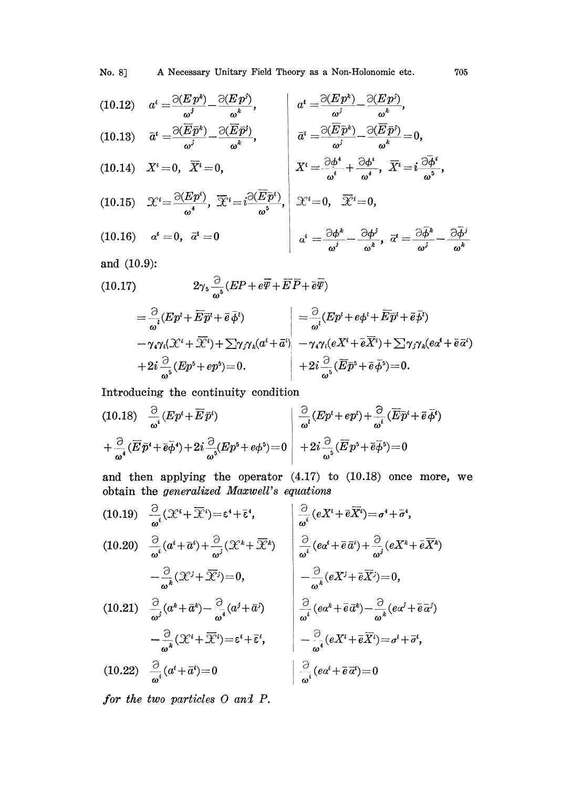No. 8] A Necessary Unitary Field Theory as a Non-Holonomic etc. 705

(10.12) 
$$
a^{i} = \frac{\partial (E p^{i})}{\omega^{j}} - \frac{\partial (E p^{j})}{\omega^{k}},
$$
  
\n(10.13)  $\bar{a}^{t} = \frac{\partial (\overline{E} \overline{p}^{k})}{\omega^{j}} - \frac{\partial (\overline{E} \overline{p}^{j})}{\omega^{k}},$   
\n(10.14)  $X^{i} = 0$ ,  $\overline{X}^{i} = 0$ ,  
\n(10.15)  $\mathcal{X}^{i} = \frac{\partial (E p^{i})}{\omega^{i}}$ ,  $\overline{\mathcal{X}}^{i} = i \frac{\partial (\overline{E} \overline{p}^{j})}{\omega^{k}}$ ,  
\n(10.16)  $a^{i} = 0$ ,  $\overline{a}^{i} = 0$   
\n(10.17)  $\mathcal{X}^{i} = \frac{\partial (E p^{i})}{\omega^{i}}$ ,  $\overline{\mathcal{X}}^{i} = i \frac{\partial (\overline{E} \overline{p}^{i})}{\omega^{i}}$ ,  
\n(10.18)  $a^{i} = 0$ ,  $\overline{a}^{i} = 0$   
\n(10.19)  $a^{i} = 0$ ,  $\overline{a}^{i} = 0$   
\n(10.10)  $a^{i} = 0$ ,  $\overline{a}^{i} = 0$   
\n(10.11)  $a^{i} = \frac{\partial}{a^{i}} - \frac{\partial}{a^{i}} \overline{a}^{i}$ ,  $\overline{a}^{i} = \frac{\partial}{a^{j}} - \frac{\partial}{a^{j}} \overline{a}^{i}$ 

and (10.9):

(10.17)  
\n
$$
2\gamma_5 \frac{\partial}{\omega^5} (EP + e\overline{\psi} + \overline{E}\overline{P} + \overline{e}\overline{\psi})
$$
\n
$$
= \frac{\partial}{\omega^i} (Ep^i + \overline{E}\overline{p}^i + \overline{e}\overline{\phi}^i)
$$
\n
$$
- \gamma_4 \gamma_i (\mathcal{X}^i + \overline{\mathcal{X}}^i) + \sum \gamma_j \gamma_k (a^i + \overline{a}^i)
$$
\n
$$
+ 2i \frac{\partial}{\omega^5} (Ep^5 + ep^5) = 0.
$$
\n
$$
+ 2i \frac{\partial}{\omega^5} (Ep^5 + ep^5) = 0.
$$

Inrodueing the continuity condition

$$
(10.18) \frac{\partial}{\omega^{i}} (Ep^{i} + \overline{E} \overline{p}^{i}) + \frac{\partial}{\omega^{i}} (Ep^{i} + ep^{i}) + \frac{\partial}{\omega^{i}} (\overline{E} \overline{p}^{i} + \overline{e} \overline{\phi}^{i}) + \frac{\partial}{\omega^{i}} (\overline{E} \overline{p}^{i} + \overline{e} \overline{\phi}^{i}) + 2i \frac{\partial}{\omega^{i}} (Ep^{i} + e\phi^{i}) = 0 + 2i \frac{\partial}{\omega^{i}} (\overline{E} p^{i} + \overline{e} \overline{\phi}^{i}) = 0
$$

and then applying the operator (4.17) to (10.18) once more, we obtain the generalized Maxwell's equations

(10.19) 
$$
\frac{\partial}{\omega^{i}}(\mathcal{X}^{i} + \overline{\mathcal{X}}^{i}) = \varepsilon^{4} + \overline{\varepsilon}^{4},
$$

$$
(10.20) 
$$
\frac{\partial}{\omega^{i}}(a^{i} + \overline{a}^{i}) + \frac{\partial}{\omega^{j}}(\mathcal{X}^{k} + \overline{\mathcal{X}}^{k})
$$

$$
- \frac{\partial}{\omega^{k}}(\mathcal{X}^{j} + \overline{\mathcal{X}}^{j}) = 0,
$$

$$
(10.21) 
$$
\frac{\partial}{\omega^{j}}(a^{k} + \overline{a}^{k}) - \frac{\partial}{\omega^{i}}(a^{j} + \overline{a}^{j})
$$

$$
- \frac{\partial}{\omega^{i}}(\mathcal{X}^{i} + \overline{\mathcal{X}}^{j}) = 0,
$$

$$
- \frac{\partial}{\omega^{k}}(\mathcal{X}^{i} + \overline{\mathcal{X}}^{i}) = \varepsilon^{i}
$$

$$
- \frac{\partial}{\omega^{i}}(a^{k} + \overline{a}^{k}) - \frac{\partial}{\omega^{i}}(a^{j} + \overline{a}^{j})
$$

$$
- \frac{\partial}{\omega^{k}}(\mathcal{X}^{i} + \overline{\mathcal{X}}^{i}) = \varepsilon^{i} + \overline{\varepsilon}^{i},
$$

$$
- \frac{\partial}{\omega^{i}}(a^{k} + \overline{a}^{k}) = 0
$$

$$
= \frac{\partial}{\omega^{i}}(a^{k} + \overline{a}^{k}) = 0
$$

$$
= \frac{\partial}{\omega^{i}}(e^{i} + \overline{e}^{k}) = 0
$$
$$
$$

for the two particles  $O$  and  $P$ .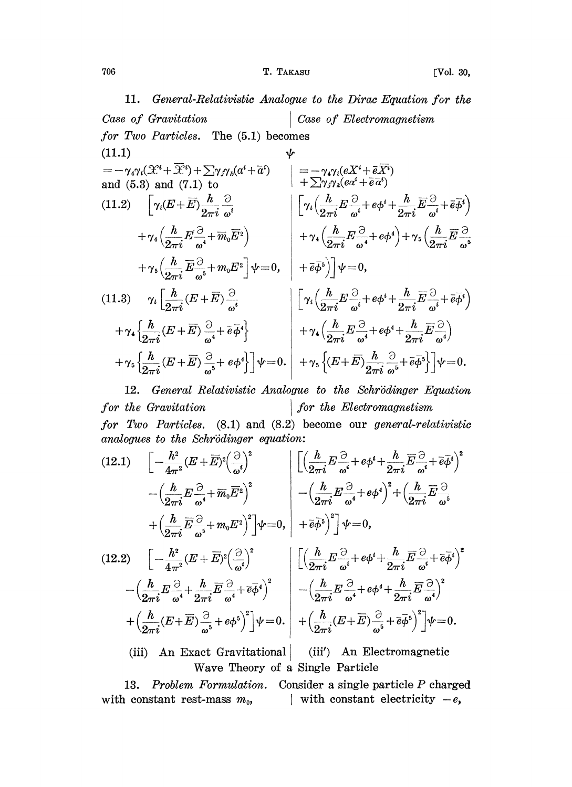11. General-Relativistic Analogue to the Dirac Equation for the Case of Gravitation Case of Electromagnetism for Two Particles. The (5.1) becomes  $(11.1)$ =  $-\gamma_4\gamma_i(\mathcal{X}^i + \overline{\mathcal{X}}^i) + \sum \gamma_j \gamma_k(a^i + \overline{a}^i)$ <br>and (5.3) and (7.1) to<br>(11.2)  $\left[\gamma_i(E + \overline{E})\frac{h}{2\pi i}\frac{\partial}{\partial s^i}\right] + \sum \gamma_j \gamma_k(e\overline{a}^i + \overline{e}\overline{a}^i)$ <br>(11.2)  $\left[\gamma_i(E + \overline{E})\frac{h}{2\pi i}\frac{\partial}{\partial s^i}\right] = -\gamma_4\gamma_i(e\overline{X}^i + \overline$  $+\gamma_4\Bigl(\frac{h}{2\pi i}E\frac{\partial}{\omega^4}+\overline{m}_0\overline{E}^2\Bigr)\qquad \qquad \nonumber\\ +\gamma_4\Bigl(\frac{h}{2\pi i}E\frac{\partial}{\omega^4}+e\phi^4\Bigr)+\gamma_5\Bigl(\frac{h}{2\pi i}\overline{E}\frac{\partial}{\omega^5}$  $+\gamma_5\Big(\frac{\hbar}{2\pi i}\overline{E}\frac{\partial}{\omega^5}+m_0E^2\Big]\psi\!=\!0, \ \ \ \Bigg| \ +\bar{e}\bar{\phi}^5\Big)\Big]\psi\!=\!0,$ (11.3)  $\gamma_i \left[ \frac{h}{2\pi i} (E + \overline{E}) \frac{\partial}{\omega^i} \right] \left[ \gamma_i \left( \frac{h}{2\pi i} E \frac{\partial}{\omega^i} + e \phi^i + \frac{h}{2\pi i} \overline{E} \frac{\partial}{\omega^i} + \overline{e} \overline{\phi}^i \right) \right]$  $+\gamma_4\left\{\frac{h}{2\pi i}(E+\overline{E})\frac{\partial}{\partial t}+\bar{e}\,\bar{\phi}^4\right\}\qquad\qquad\left.+\gamma_4\left(\frac{h}{2\pi i}E\frac{\partial}{\partial t}+e\phi^4+\frac{h}{2\pi i}\overline{E}\frac{\partial}{\partial t}\right)\right\}$  $+\gamma_5\Big\{\frac{h}{2\pi i}(E+\overline{E})\frac{\partial}{\partial^5}+e\phi^4\Big\}\Big]\psi=0.\ \Bigg|\ +\gamma_5\Big\{(E+\overline{E})\frac{h}{2\pi i}\frac{\partial}{\partial^5}+\overline{e}\overline{\phi}^5\Big\}\Big]\psi=0.$ 

12. General Relativistic Analogue to the Schrödinger Equation for the Gravitation  $\qquad \qquad$  for the Electromagnetism for Two Particles. (8.1) and (8.2) become our general-relativistic analogues to the Schrödinger equation:

$$
(12.1) \quad\n\left[-\frac{h^2}{4\pi^2}(E+\overline{E})^2\left(\frac{\partial}{\omega^i}\right)^2\right]\n-\left(\frac{h}{2\pi i}E\frac{\partial}{\omega}+\overline{m}_0\overline{E}^2\right)^2\n+\left(\frac{h}{2\pi i}\overline{E}\frac{\partial}{\omega}+m_0E^2\right)^2\n+\left(\frac{h}{2\pi i}\overline{E}\frac{\partial}{\omega}+m_0E^2\right)^2\n\left[\sqrt{2\pi i}\overline{E}\frac{\partial}{\omega}+e\phi^i\right]^2\n+\left(\frac{h}{2\pi i}\overline{E}\frac{\partial}{\omega^i}+m_0E^2\right)^2\n\left[\psi=0,\n\right]\n+e\overline{\phi}^5\right)^2\n\left[\psi=0,\n\left[\frac{h^2}{2\pi i}E\frac{\partial}{\omega}+e\phi^i\right]^2\n+\left(\frac{h}{2\pi i}\overline{E}\frac{\partial}{\omega^i}+e\overline{\phi}^i\right)^2\n-\left(\frac{h}{2\pi i}E\frac{\partial}{\omega^i}+\frac{h}{2\pi i}\overline{E}\frac{\partial}{\omega^i}+e\overline{\phi}^i\right)^2\n-\left(\frac{h}{2\pi i}E\frac{\partial}{\omega^i}+e\overline{\phi}^i\right)^2\n+\left(\frac{h}{2\pi i}(E+\overline{E})\frac{\partial}{\omega^i}+e\phi^i\right)^2\n\left[\frac{h}{2\pi i}E\frac{\partial}{\omega^i}+e\phi^i+\frac{h}{2\pi i}\overline{E}\frac{\partial}{\omega^i}\right)^2\n+\left(\frac{h}{2\pi i}(E+\overline{E})\frac{\partial}{\omega^5}+e\phi^i\right)^2\n\right]\psi=0.
$$

(iii) An Exact Gravitational (iii') An Electromagnetic Wave Theory of a Single Particle

13. Problem Formulation. Consider a single particle  $P$  charged with constant rest-mass  $m_0$ , with constant electricity  $-e$ ,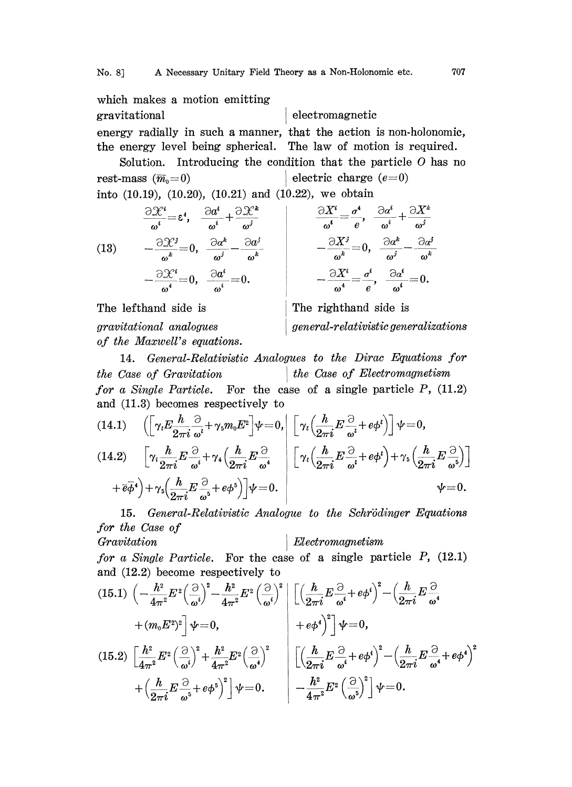which makes a motion emitting

## gravitational electromagnetic

energy radially in such a manner, that the action is non-holonomic, the energy level being" spherical. The law of motion is required.

Solution. Introducing the condition that the particle O has no rest-mass  $(\overline{m}_0=0)$  electric charge  $(e=0)$ into (10.19), (10.20), (10.21) and (10.22), we obtain

(13) 
$$
\frac{\partial \mathcal{X}^i}{\omega^i} = \varepsilon^4, \quad \frac{\partial a^i}{\omega^i} + \frac{\partial \mathcal{X}^k}{\omega^j} \qquad \frac{\partial X^i}{\omega^i} = \frac{\sigma^4}{e}, \quad \frac{\partial a^i}{\omega^i} + \frac{\partial X^k}{\omega^j}
$$

$$
-\frac{\partial \mathcal{X}^i}{\omega^k} = 0, \quad \frac{\partial a^k}{\omega^j} - \frac{\partial a^j}{\omega^k} \qquad -\frac{\partial X^j}{\omega^k} = 0, \quad \frac{\partial a^k}{\omega^i} - \frac{\partial a^k}{\omega^k} = 0.
$$

The lefthand side is The righthand side is

gravitational analogues general-relativistic generalizations

of the Maxwell's equations.

14. General-Relativistic Analogues to the Dirac Equations for  $the \textit{ Case of Gravitation}$   $the \textit{ Case of Electromagnetism}$ for a Single Particle. For the case of a single particle  $P$ ,  $(11.2)$ 

and (11.3) becomes respectively to

(14.1) 
$$
\left( \left[ \gamma_t E \frac{h}{2\pi i} \frac{\partial}{\omega^i} + \gamma_5 m_0 E^2 \right] \psi = 0, \left[ \gamma_t \left( \frac{h}{2\pi i} E \frac{\partial}{\omega^i} + e \phi^i \right) \right] \psi = 0,
$$
  
(14.2) 
$$
\left[ \gamma_t \frac{h}{2\pi i} E \frac{\partial}{\omega^i} + \gamma_t \left( \frac{h}{2\pi i} E \frac{\partial}{\omega^i} + e \phi^i \right) \right] \psi = 0,
$$

$$
+ \bar{e} \bar{\phi}^4 \right) + \gamma_5 \left( \frac{h}{2\pi i} E \frac{\partial}{\omega^5} + e \phi^5 \right) \psi = 0.
$$

15. General-Relativistic Analogue to the Schrödinger Equations for the Case of

Gravitation Electromagnetism

for a Single Particle. For the case of a single particle  $P$ ,  $(12.1)$ and (12.2) become respectively to

$$
(15.1) \left(-\frac{h^2}{4\pi^2}E^2\left(\frac{\partial}{\omega^i}\right)^2 - \frac{h^2}{4\pi^2}E^2\left(\frac{\partial}{\omega^i}\right)^2\right] \left[\left(\frac{h}{2\pi i}E\frac{\partial}{\omega^i} + e\phi^i\right)^2 - \left(\frac{h}{2\pi i}E\frac{\partial}{\omega^i} + e\phi^i\right)^2\right] + (m_0E^2)^2 \right] \psi = 0,
$$
\n
$$
(15.2) \left[\frac{h^2}{4\pi^2}E^2\left(\frac{\partial}{\omega^i}\right)^2 + \frac{h^2}{4\pi^2}E^2\left(\frac{\partial}{\omega^i}\right)^2\right] \psi = 0.
$$
\n
$$
+ \left(\frac{h}{2\pi i}E\frac{\partial}{\omega^5} + e\phi^5\right)^2 \right] \psi = 0.
$$
\n
$$
\left[\left(\frac{h}{2\pi i}E\frac{\partial}{\omega^i} + e\phi^i\right)^2 - \left(\frac{h}{2\pi i}E\frac{\partial}{\omega^4} + e\phi^4\right)^2\right]
$$
\n
$$
+ \left(\frac{h}{2\pi i}E\frac{\partial}{\omega^5} + e\phi^5\right)^2 \psi = 0.
$$